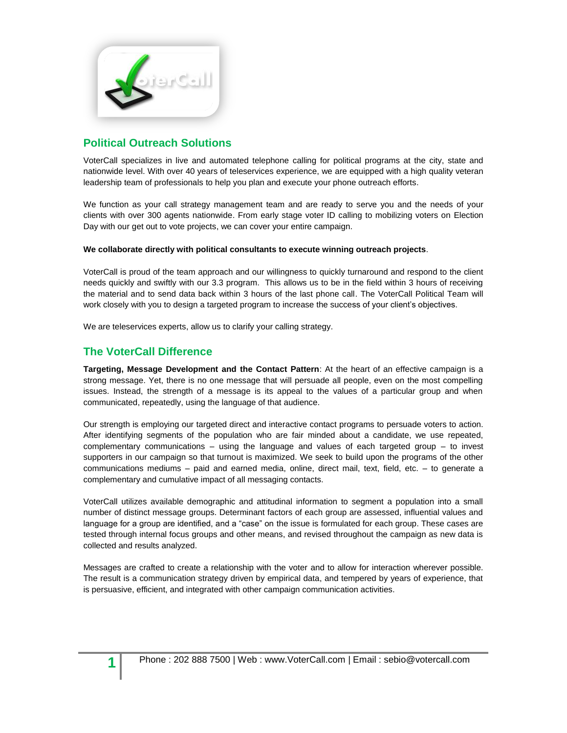

## **Political Outreach Solutions**

VoterCall specializes in live and automated telephone calling for political programs at the city, state and nationwide level. With over 40 years of teleservices experience, we are equipped with a high quality veteran leadership team of professionals to help you plan and execute your phone outreach efforts.

We function as your call strategy management team and are ready to serve you and the needs of your clients with over 300 agents nationwide. From early stage voter ID calling to mobilizing voters on Election Day with our get out to vote projects, we can cover your entire campaign.

### **We collaborate directly with political consultants to execute winning outreach projects**.

VoterCall is proud of the team approach and our willingness to quickly turnaround and respond to the client needs quickly and swiftly with our 3.3 program. This allows us to be in the field within 3 hours of receiving the material and to send data back within 3 hours of the last phone call. The VoterCall Political Team will work closely with you to design a targeted program to increase the success of your client's objectives.

We are teleservices experts, allow us to clarify your calling strategy.

## **The VoterCall Difference**

**Targeting, Message Development and the Contact Pattern**: At the heart of an effective campaign is a strong message. Yet, there is no one message that will persuade all people, even on the most compelling issues. Instead, the strength of a message is its appeal to the values of a particular group and when communicated, repeatedly, using the language of that audience.

Our strength is employing our targeted direct and interactive contact programs to persuade voters to action. After identifying segments of the population who are fair minded about a candidate, we use repeated, complementary communications – using the language and values of each targeted group – to invest supporters in our campaign so that turnout is maximized. We seek to build upon the programs of the other communications mediums – paid and earned media, online, direct mail, text, field, etc. – to generate a complementary and cumulative impact of all messaging contacts.

VoterCall utilizes available demographic and attitudinal information to segment a population into a small number of distinct message groups. Determinant factors of each group are assessed, influential values and language for a group are identified, and a "case" on the issue is formulated for each group. These cases are tested through internal focus groups and other means, and revised throughout the campaign as new data is collected and results analyzed.

Messages are crafted to create a relationship with the voter and to allow for interaction wherever possible. The result is a communication strategy driven by empirical data, and tempered by years of experience, that is persuasive, efficient, and integrated with other campaign communication activities.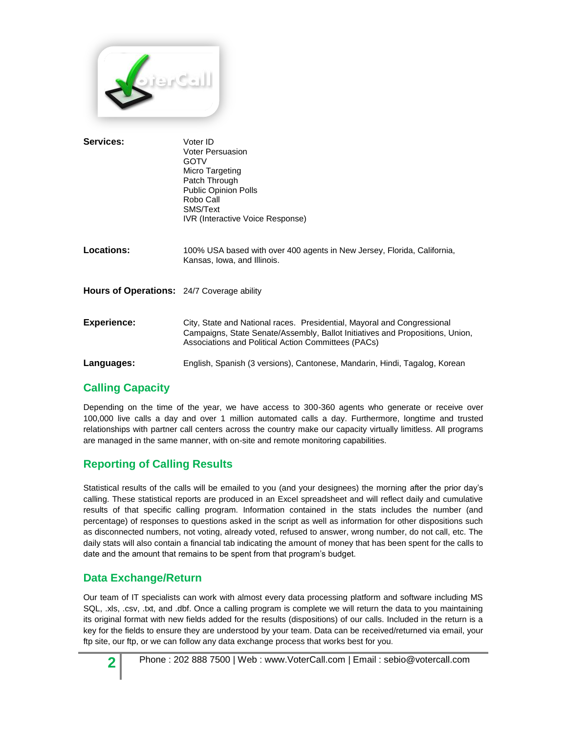

| Services:                                         | Voter ID<br><b>Voter Persuasion</b><br><b>GOTV</b><br>Micro Targeting<br>Patch Through<br>Public Opinion Polls<br>Robo Call<br>SMS/Text<br>IVR (Interactive Voice Response)                                     |
|---------------------------------------------------|-----------------------------------------------------------------------------------------------------------------------------------------------------------------------------------------------------------------|
| Locations:                                        | 100% USA based with over 400 agents in New Jersey, Florida, California,<br>Kansas, Iowa, and Illinois.                                                                                                          |
| <b>Hours of Operations:</b> 24/7 Coverage ability |                                                                                                                                                                                                                 |
| <b>Experience:</b>                                | City, State and National races. Presidential, Mayoral and Congressional<br>Campaigns, State Senate/Assembly, Ballot Initiatives and Propositions, Union,<br>Associations and Political Action Committees (PACs) |
| Languages:                                        | English, Spanish (3 versions), Cantonese, Mandarin, Hindi, Tagalog, Korean                                                                                                                                      |

# **Calling Capacity**

Depending on the time of the year, we have access to 300-360 agents who generate or receive over 100,000 live calls a day and over 1 million automated calls a day. Furthermore, longtime and trusted relationships with partner call centers across the country make our capacity virtually limitless. All programs are managed in the same manner, with on-site and remote monitoring capabilities.

## **Reporting of Calling Results**

Statistical results of the calls will be emailed to you (and your designees) the morning after the prior day's calling. These statistical reports are produced in an Excel spreadsheet and will reflect daily and cumulative results of that specific calling program. Information contained in the stats includes the number (and percentage) of responses to questions asked in the script as well as information for other dispositions such as disconnected numbers, not voting, already voted, refused to answer, wrong number, do not call, etc. The daily stats will also contain a financial tab indicating the amount of money that has been spent for the calls to date and the amount that remains to be spent from that program's budget.

## **Data Exchange/Return**

Our team of IT specialists can work with almost every data processing platform and software including MS SQL, .xls, .csv, .txt, and .dbf. Once a calling program is complete we will return the data to you maintaining its original format with new fields added for the results (dispositions) of our calls. Included in the return is a key for the fields to ensure they are understood by your team. Data can be received/returned via email, your ftp site, our ftp, or we can follow any data exchange process that works best for you.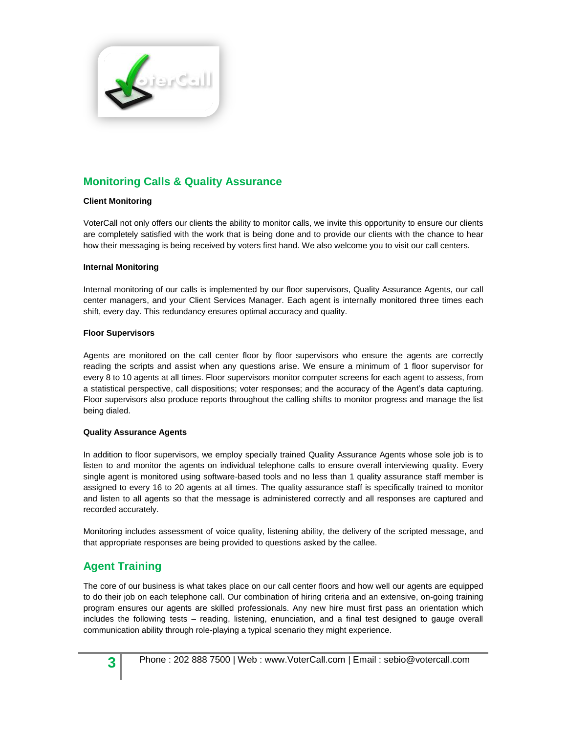

## **Monitoring Calls & Quality Assurance**

### **Client Monitoring**

VoterCall not only offers our clients the ability to monitor calls, we invite this opportunity to ensure our clients are completely satisfied with the work that is being done and to provide our clients with the chance to hear how their messaging is being received by voters first hand. We also welcome you to visit our call centers.

#### **Internal Monitoring**

Internal monitoring of our calls is implemented by our floor supervisors, Quality Assurance Agents, our call center managers, and your Client Services Manager. Each agent is internally monitored three times each shift, every day. This redundancy ensures optimal accuracy and quality.

#### **Floor Supervisors**

Agents are monitored on the call center floor by floor supervisors who ensure the agents are correctly reading the scripts and assist when any questions arise. We ensure a minimum of 1 floor supervisor for every 8 to 10 agents at all times. Floor supervisors monitor computer screens for each agent to assess, from a statistical perspective, call dispositions; voter responses; and the accuracy of the Agent's data capturing. Floor supervisors also produce reports throughout the calling shifts to monitor progress and manage the list being dialed.

#### **Quality Assurance Agents**

In addition to floor supervisors, we employ specially trained Quality Assurance Agents whose sole job is to listen to and monitor the agents on individual telephone calls to ensure overall interviewing quality. Every single agent is monitored using software-based tools and no less than 1 quality assurance staff member is assigned to every 16 to 20 agents at all times. The quality assurance staff is specifically trained to monitor and listen to all agents so that the message is administered correctly and all responses are captured and recorded accurately.

Monitoring includes assessment of voice quality, listening ability, the delivery of the scripted message, and that appropriate responses are being provided to questions asked by the callee.

## **Agent Training**

The core of our business is what takes place on our call center floors and how well our agents are equipped to do their job on each telephone call. Our combination of hiring criteria and an extensive, on-going training program ensures our agents are skilled professionals. Any new hire must first pass an orientation which includes the following tests – reading, listening, enunciation, and a final test designed to gauge overall communication ability through role-playing a typical scenario they might experience.